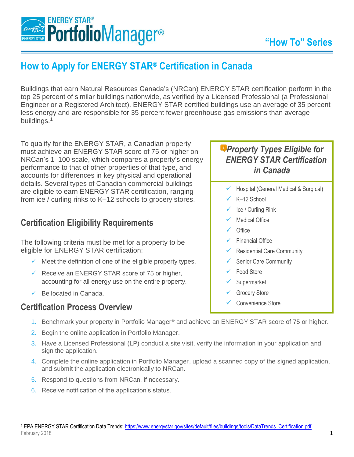

# **How to Apply for ENERGY STAR® Certification in Canada**

Buildings that earn Natural Resources Canada's (NRCan) ENERGY STAR certification perform in the top 25 percent of similar buildings nationwide, as verified by a Licensed Professional (a Professional Engineer or a Registered Architect). ENERGY STAR certified buildings use an average of 35 percent less energy and are responsible for 35 percent fewer greenhouse gas emissions than average buildings.<sup>1</sup>

To qualify for the ENERGY STAR, a Canadian property must achieve an ENERGY STAR score of 75 or higher on NRCan's 1–100 scale, which compares a property's energy performance to that of other properties of that type, and accounts for differences in key physical and operational details. Several types of Canadian commercial buildings are eligible to earn ENERGY STAR certification, ranging from ice / curling rinks to K–12 schools to grocery stores.

## **Certification Eligibility Requirements**

The following criteria must be met for a property to be eligible for ENERGY STAR certification:

- $\checkmark$  Meet the definition of one of the eligible property types.
- $\checkmark$  Receive an ENERGY STAR score of 75 or higher, accounting for all energy use on the entire property.
- $\checkmark$  Be located in Canada.

#### **Certification Process Overview**

# *Property Types Eligible for ENERGY STAR Certification in Canada*

- $\checkmark$  Hospital (General Medical & Surgical)
- K-12 School
- Ice / Curling Rink
- Medical Office
- Office
- Financial Office
- Residential Care Community
- Senior Care Community
- Food Store
- **Supermarket**
- Grocery Store
	- Convenience Store
- 1. Benchmark your property in Portfolio Manager® and achieve an ENERGY STAR score of 75 or higher.
- 2. Begin the online application in Portfolio Manager.
- 3. Have a Licensed Professional (LP) conduct a site visit, verify the information in your application and sign the application.
- 4. Complete the online application in Portfolio Manager, upload a scanned copy of the signed application, and submit the application electronically to NRCan.
- 5. Respond to questions from NRCan, if necessary.
- 6. Receive notification of the application's status.

February 2018 1 <sup>1</sup> EPA ENERGY STAR Certification Data Trends: https://www.energystar.gov/sites/default/files/buildings/tools/DataTrends Certification.pdf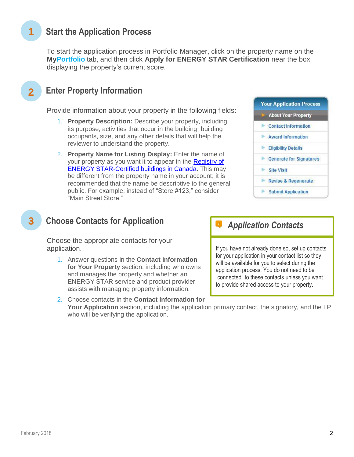# **1 Start the Application Process**

To start the application process in Portfolio Manager, click on the property name on the **MyPortfolio** tab, and then click **Apply for ENERGY STAR Certification** near the box displaying the property's current score.

# **Enter Property Information**

**2**

**3**

Provide information about your property in the following fields:

- 1. **Property Description:** Describe your property, including its purpose, activities that occur in the building, building occupants, size, and any other details that will help the reviewer to understand the property.
- 2. **Property Name for Listing Display:** Enter the name of your property as you want it to appear in the Registry of [ENERGY STAR-Certified buildings in Canada.](http://www.nrcan.gc.ca/commercial/eb/20267) This may be different from the property name in your account; it is recommended that the name be descriptive to the general public. For example, instead of "Store #123," consider "Main Street Store."



# **Choose Contacts for Application**

Choose the appropriate contacts for your application.

1. Answer questions in the **Contact Information for Your Property** section, including who owns and manages the property and whether an ENERGY STAR service and product provider assists with managing property information.

2. Choose contacts in the **Contact Information for Your Application** section, including the application primary contact, the signatory, and the LP who will be verifying the application.

### *Application Contacts*

If you have not already done so, set up contacts for your application in your contact list so they will be available for you to select during the application process. You do not need to be "connected" to these contacts unless you want to provide shared access to your property.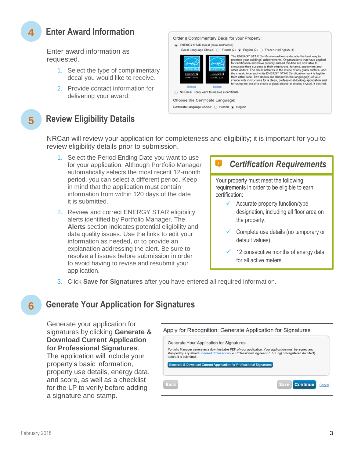# **Enter Award Information**

Enter award information as requested.

- 1. Select the type of complimentary decal you would like to receive.
- 2. Provide contact information for delivering your award.

|                                                           | ENERGY STAR Decal (Blue and White)              | Order a Complimentary Decal for your Property:<br>Decal Language Choice: ◯ French (2) ⓒ English (2) ◯ French (1)/English (1)                                                                                                                                                                                                                                                                                                                                                                                                                                                                    |
|-----------------------------------------------------------|-------------------------------------------------|-------------------------------------------------------------------------------------------------------------------------------------------------------------------------------------------------------------------------------------------------------------------------------------------------------------------------------------------------------------------------------------------------------------------------------------------------------------------------------------------------------------------------------------------------------------------------------------------------|
| <b>ERGY STAL</b><br><b>EXAMPLE 2017</b><br>LYGAR CERMINED | MERGY STAR<br>2017<br>CONTINUE-1.AND            | The ENERGY STAR Certification adhesive decal is the best way to<br>promote your buildings' achievements. Organizations that have applied<br>for certification and have proudly earned this title are now able to<br>showcase their success to their employees, tenants, customers and<br>other visitors. The decal adheres to the inside of any glass surface, and<br>the classic blue and white ENERGY STAR Certification mark is legible<br>from either side. Two decals are shipped in the language(s) of your<br>choice with instructions for a clean, professional-looking application and |
| Enlarge                                                   | Enlarge                                         | for using the decal to create a glass plaque or display crystal, if desired.                                                                                                                                                                                                                                                                                                                                                                                                                                                                                                                    |
|                                                           | No Decal. I only want to receive a certificate. |                                                                                                                                                                                                                                                                                                                                                                                                                                                                                                                                                                                                 |
|                                                           | Choose the Certificate Language:                |                                                                                                                                                                                                                                                                                                                                                                                                                                                                                                                                                                                                 |
|                                                           | Certificate Language Choice: O French @ English |                                                                                                                                                                                                                                                                                                                                                                                                                                                                                                                                                                                                 |

**5**

**4**

# **Review Eligibility Details**

NRCan will review your application for completeness and eligibility; it is important for you to review eligibility details prior to submission.

- 1. Select the Period Ending Date you want to use for your application. Although Portfolio Manager automatically selects the most recent 12-month period, you can select a different period. Keep in mind that the application must contain information from within 120 days of the date it is submitted.
- 2. Review and correct ENERGY STAR eligibility alerts identified by Portfolio Manager. The **Alerts** section indicates potential eligibility and data quality issues. Use the links to edit your information as needed, or to provide an explanation addressing the alert. Be sure to resolve all issues before submission in order to avoid having to revise and resubmit your application.

## *Certification Requirements*

Your property must meet the following requirements in order to be eligible to earn certification:

- $\checkmark$  Accurate property function/type designation, including all floor area on the property.
- ✓ Complete use details (no temporary or default values).
- 12 consecutive months of energy data for all active meters.
- 3. Click **Save for Signatures** after you have entered all required information.

## **Generate Your Application for Signatures**

Generate your application for signatures by clicking **Generate & Download Current Application for Professional Signatures**.

The application will include your property's basic information, property use details, energy data, and score, as well as a checklist for the LP to verify before adding a signature and stamp.

| Generate Your Application for Signatures                                       |                                                                                                                                                                                                                        |
|--------------------------------------------------------------------------------|------------------------------------------------------------------------------------------------------------------------------------------------------------------------------------------------------------------------|
| before it is submitted.                                                        | Portfolio Manager generates a downloadable PDF of your application. Your application must be signed and<br>stamped by a qualified Licensed Professional (ie. Professional Engineer (PE/P.Eng) or Registered Architect) |
| <b>Generate &amp; Download Current Application for Professional Signatures</b> |                                                                                                                                                                                                                        |
|                                                                                |                                                                                                                                                                                                                        |
|                                                                                |                                                                                                                                                                                                                        |

**6**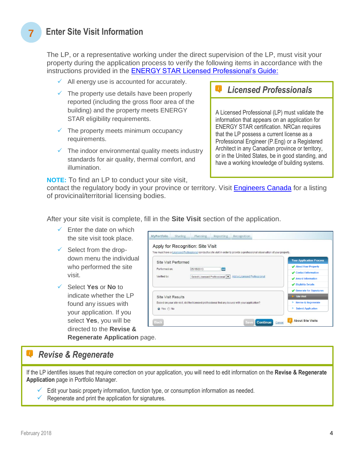## **7 Enter Site Visit Information**

The LP, or a representative working under the direct supervision of the LP, must visit your property during the application process to verify the following items in accordance with the instructions provided in the [ENERGY STAR Licensed Professional's Guide:](http://www.nrcan.gc.ca/licensedprofessionals)

- $\checkmark$  All energy use is accounted for accurately.
- $\checkmark$  The property use details have been properly reported (including the gross floor area of the building) and the property meets ENERGY STAR eligibility requirements.
- $\checkmark$  The property meets minimum occupancy requirements.
- $\checkmark$  The indoor environmental quality meets industry standards for air quality, thermal comfort, and illumination.

**NOTE:** To find an LP to conduct your site visit,

#### *Licensed Professionals*

A Licensed Professional (LP) must validate the information that appears on an application for ENERGY STAR certification. NRCan requires that the LP possess a current license as a Professional Engineer (P.Eng) or a Registered Architect in any Canadian province or territory, or in the United States, be in good standing, and have a working knowledge of building systems.

contact the regulatory body in your province or territory. Visit [Engineers Canada](https://engineerscanada.ca/regulatory-excellence/engineering-regulators) for a listing of provicinal/territorial licensing bodies.

After your site visit is complete, fill in the **Site Visit** section of the application.

- $\checkmark$  Enter the date on which the site visit took place.
- $\checkmark$  Select from the dropdown menu the individual who performed the site visit.
- ✓ Select **Yes** or **No** to indicate whether the LP found any issues with your application. If you select **Yes**, you will be directed to the **Revise &**

| Apply for Recognition: Site Visit                                                              |  |                                                             |                     | You must have a Licensed Professional conduct a site visit in order to provide a professional observation of your property. |                                 |
|------------------------------------------------------------------------------------------------|--|-------------------------------------------------------------|---------------------|-----------------------------------------------------------------------------------------------------------------------------|---------------------------------|
| Site Visit Performed                                                                           |  |                                                             |                     |                                                                                                                             | <b>Your Application Process</b> |
| 齝<br>Performed on:<br>05/15/2013                                                               |  |                                                             |                     | About Your Property                                                                                                         |                                 |
| Verified by:                                                                                   |  | Add a Licensed Professional<br>Select Licensed Professional | Contact Information |                                                                                                                             |                                 |
|                                                                                                |  |                                                             | Award Information   |                                                                                                                             |                                 |
|                                                                                                |  |                                                             |                     |                                                                                                                             | Eligibility Details             |
|                                                                                                |  |                                                             |                     |                                                                                                                             | Generate for Signatures         |
| <b>Site Visit Results</b>                                                                      |  |                                                             |                     |                                                                                                                             | Site Visit                      |
| Based on your site visit, did the licensed professional find any issues with your application? |  |                                                             |                     |                                                                                                                             | Revise & Regenerate             |
| O Yes @ No                                                                                     |  |                                                             |                     |                                                                                                                             | <b>Submit Application</b>       |

**Regenerate Application** page.

### *Revise & Regenerate*

If the LP identifies issues that require correction on your application, you will need to edit information on the **Revise & Regenerate Application** page in Portfolio Manager.

- $\checkmark$  Edit your basic property information, function type, or consumption information as needed.
- Regenerate and print the application for signatures.